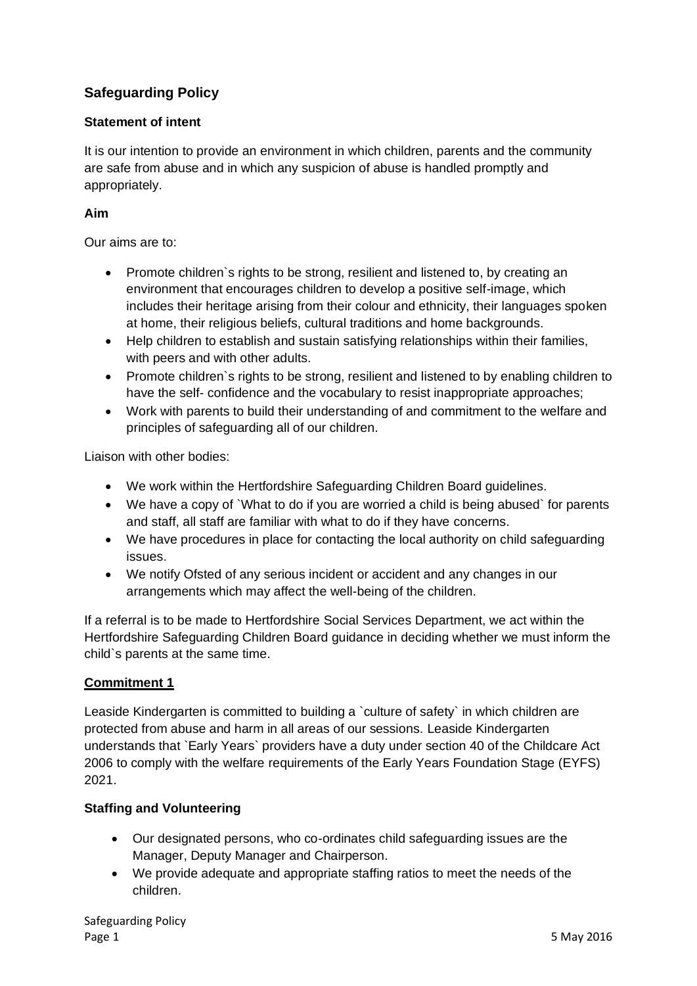# **Safeguarding Policy**

### **Statement of intent**

It is our intention to provide an environment in which children, parents and the community are safe from abuse and in which any suspicion of abuse is handled promptly and appropriately.

### **Aim**

Our aims are to:

- Promote children's rights to be strong, resilient and listened to, by creating an environment that encourages children to develop a positive self-image, which includes their heritage arising from their colour and ethnicity, their languages spoken at home, their religious beliefs, cultural traditions and home backgrounds.
- Help children to establish and sustain satisfying relationships within their families, with peers and with other adults.
- Promote children`s rights to be strong, resilient and listened to by enabling children to have the self- confidence and the vocabulary to resist inappropriate approaches;
- Work with parents to build their understanding of and commitment to the welfare and principles of safeguarding all of our children.

Liaison with other bodies:

- We work within the Hertfordshire Safeguarding Children Board guidelines.
- We have a copy of `What to do if you are worried a child is being abused` for parents and staff, all staff are familiar with what to do if they have concerns.
- We have procedures in place for contacting the local authority on child safeguarding issues.
- We notify Ofsted of any serious incident or accident and any changes in our arrangements which may affect the well-being of the children.

If a referral is to be made to Hertfordshire Social Services Department, we act within the Hertfordshire Safeguarding Children Board guidance in deciding whether we must inform the child`s parents at the same time.

# **Commitment 1**

Leaside Kindergarten is committed to building a `culture of safety` in which children are protected from abuse and harm in all areas of our sessions. Leaside Kindergarten understands that `Early Years` providers have a duty under section 40 of the Childcare Act 2006 to comply with the welfare requirements of the Early Years Foundation Stage (EYFS) 2021.

# **Staffing and Volunteering**

- Our designated persons, who co-ordinates child safeguarding issues are the Manager, Deputy Manager and Chairperson.
- We provide adequate and appropriate staffing ratios to meet the needs of the children.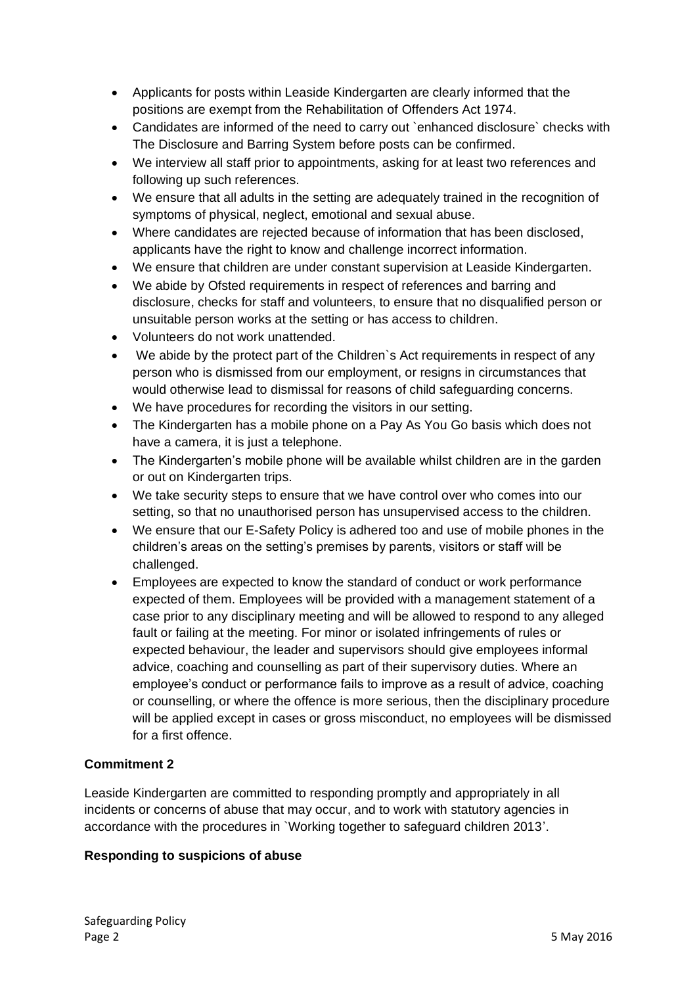- Applicants for posts within Leaside Kindergarten are clearly informed that the positions are exempt from the Rehabilitation of Offenders Act 1974.
- Candidates are informed of the need to carry out `enhanced disclosure` checks with The Disclosure and Barring System before posts can be confirmed.
- We interview all staff prior to appointments, asking for at least two references and following up such references.
- We ensure that all adults in the setting are adequately trained in the recognition of symptoms of physical, neglect, emotional and sexual abuse.
- Where candidates are rejected because of information that has been disclosed, applicants have the right to know and challenge incorrect information.
- We ensure that children are under constant supervision at Leaside Kindergarten.
- We abide by Ofsted requirements in respect of references and barring and disclosure, checks for staff and volunteers, to ensure that no disqualified person or unsuitable person works at the setting or has access to children.
- Volunteers do not work unattended.
- We abide by the protect part of the Children`s Act requirements in respect of any person who is dismissed from our employment, or resigns in circumstances that would otherwise lead to dismissal for reasons of child safeguarding concerns.
- We have procedures for recording the visitors in our setting.
- The Kindergarten has a mobile phone on a Pay As You Go basis which does not have a camera, it is just a telephone.
- The Kindergarten's mobile phone will be available whilst children are in the garden or out on Kindergarten trips.
- We take security steps to ensure that we have control over who comes into our setting, so that no unauthorised person has unsupervised access to the children.
- We ensure that our E-Safety Policy is adhered too and use of mobile phones in the children's areas on the setting's premises by parents, visitors or staff will be challenged.
- Employees are expected to know the standard of conduct or work performance expected of them. Employees will be provided with a management statement of a case prior to any disciplinary meeting and will be allowed to respond to any alleged fault or failing at the meeting. For minor or isolated infringements of rules or expected behaviour, the leader and supervisors should give employees informal advice, coaching and counselling as part of their supervisory duties. Where an employee's conduct or performance fails to improve as a result of advice, coaching or counselling, or where the offence is more serious, then the disciplinary procedure will be applied except in cases or gross misconduct, no employees will be dismissed for a first offence.

# **Commitment 2**

Leaside Kindergarten are committed to responding promptly and appropriately in all incidents or concerns of abuse that may occur, and to work with statutory agencies in accordance with the procedures in `Working together to safeguard children 2013'.

# **Responding to suspicions of abuse**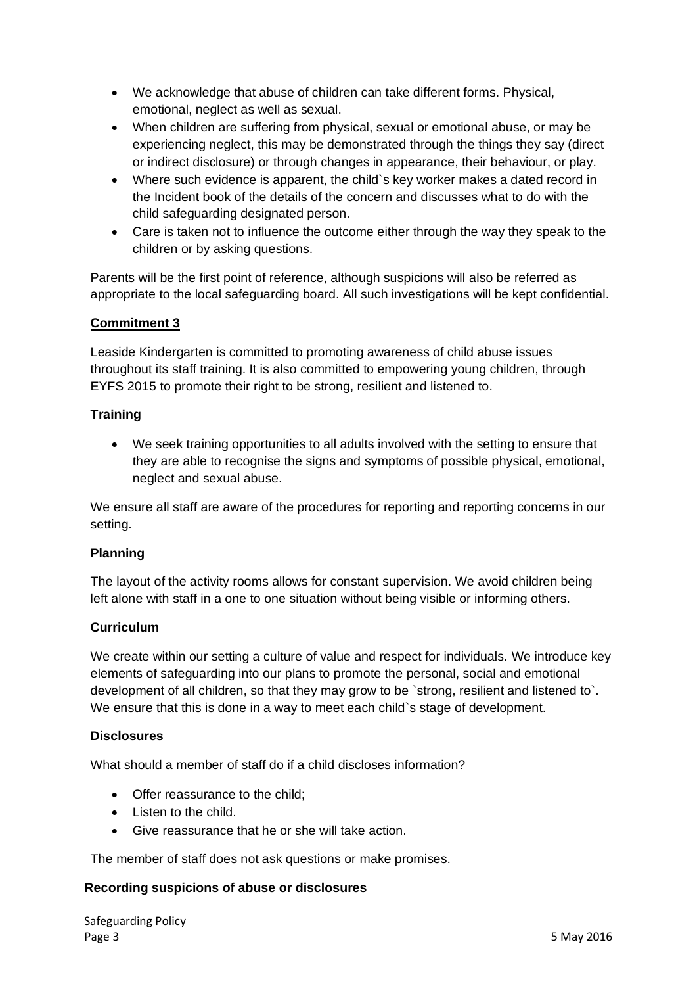- We acknowledge that abuse of children can take different forms. Physical, emotional, neglect as well as sexual.
- When children are suffering from physical, sexual or emotional abuse, or may be experiencing neglect, this may be demonstrated through the things they say (direct or indirect disclosure) or through changes in appearance, their behaviour, or play.
- Where such evidence is apparent, the child`s key worker makes a dated record in the Incident book of the details of the concern and discusses what to do with the child safeguarding designated person.
- Care is taken not to influence the outcome either through the way they speak to the children or by asking questions.

Parents will be the first point of reference, although suspicions will also be referred as appropriate to the local safeguarding board. All such investigations will be kept confidential.

# **Commitment 3**

Leaside Kindergarten is committed to promoting awareness of child abuse issues throughout its staff training. It is also committed to empowering young children, through EYFS 2015 to promote their right to be strong, resilient and listened to.

### **Training**

• We seek training opportunities to all adults involved with the setting to ensure that they are able to recognise the signs and symptoms of possible physical, emotional, neglect and sexual abuse.

We ensure all staff are aware of the procedures for reporting and reporting concerns in our setting.

# **Planning**

The layout of the activity rooms allows for constant supervision. We avoid children being left alone with staff in a one to one situation without being visible or informing others.

#### **Curriculum**

We create within our setting a culture of value and respect for individuals. We introduce key elements of safeguarding into our plans to promote the personal, social and emotional development of all children, so that they may grow to be `strong, resilient and listened to`. We ensure that this is done in a way to meet each child's stage of development.

#### **Disclosures**

What should a member of staff do if a child discloses information?

- Offer reassurance to the child;
- Listen to the child.
- Give reassurance that he or she will take action.

The member of staff does not ask questions or make promises.

#### **Recording suspicions of abuse or disclosures**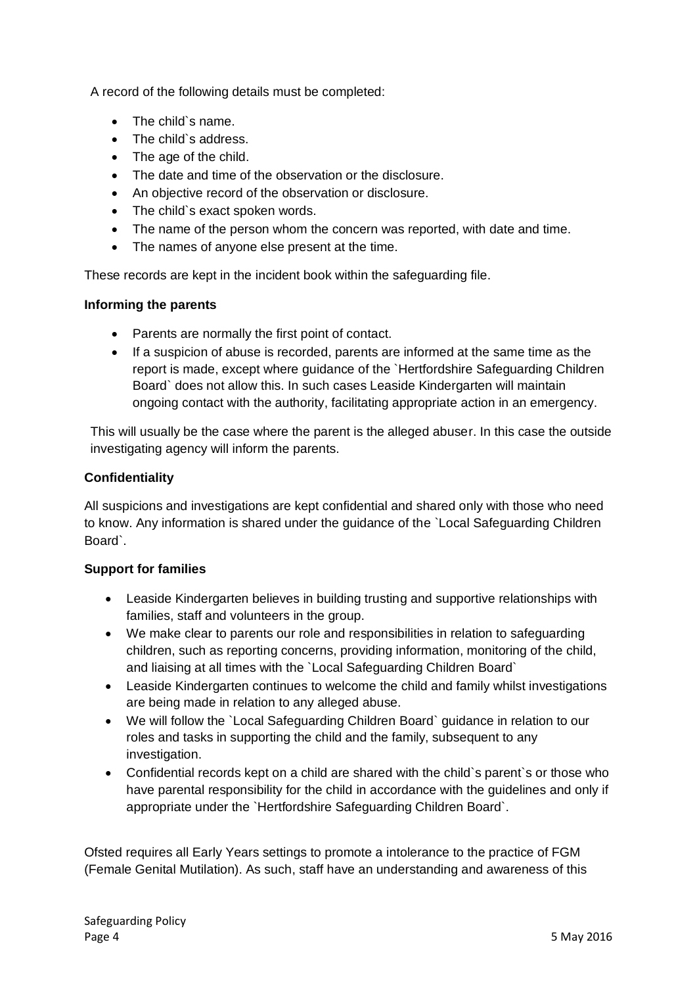A record of the following details must be completed:

- The child`s name.
- The child`s address.
- The age of the child.
- The date and time of the observation or the disclosure.
- An objective record of the observation or disclosure.
- The child`s exact spoken words.
- The name of the person whom the concern was reported, with date and time.
- The names of anyone else present at the time.

These records are kept in the incident book within the safeguarding file.

### **Informing the parents**

- Parents are normally the first point of contact.
- If a suspicion of abuse is recorded, parents are informed at the same time as the report is made, except where guidance of the `Hertfordshire Safeguarding Children Board` does not allow this. In such cases Leaside Kindergarten will maintain ongoing contact with the authority, facilitating appropriate action in an emergency.

This will usually be the case where the parent is the alleged abuser. In this case the outside investigating agency will inform the parents.

# **Confidentiality**

All suspicions and investigations are kept confidential and shared only with those who need to know. Any information is shared under the guidance of the `Local Safeguarding Children Board`.

# **Support for families**

- Leaside Kindergarten believes in building trusting and supportive relationships with families, staff and volunteers in the group.
- We make clear to parents our role and responsibilities in relation to safeguarding children, such as reporting concerns, providing information, monitoring of the child, and liaising at all times with the `Local Safeguarding Children Board`
- Leaside Kindergarten continues to welcome the child and family whilst investigations are being made in relation to any alleged abuse.
- We will follow the `Local Safeguarding Children Board` guidance in relation to our roles and tasks in supporting the child and the family, subsequent to any investigation.
- Confidential records kept on a child are shared with the child`s parent`s or those who have parental responsibility for the child in accordance with the guidelines and only if appropriate under the `Hertfordshire Safeguarding Children Board`.

Ofsted requires all Early Years settings to promote a intolerance to the practice of FGM (Female Genital Mutilation). As such, staff have an understanding and awareness of this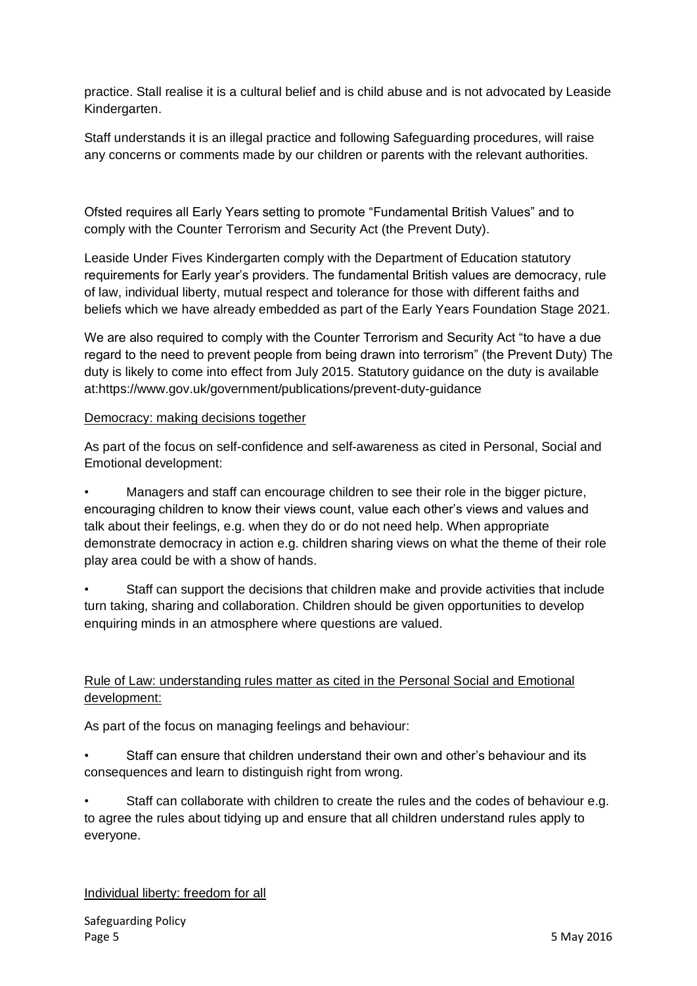practice. Stall realise it is a cultural belief and is child abuse and is not advocated by Leaside Kindergarten.

Staff understands it is an illegal practice and following Safeguarding procedures, will raise any concerns or comments made by our children or parents with the relevant authorities.

Ofsted requires all Early Years setting to promote "Fundamental British Values" and to comply with the Counter Terrorism and Security Act (the Prevent Duty).

Leaside Under Fives Kindergarten comply with the Department of Education statutory requirements for Early year's providers. The fundamental British values are democracy, rule of law, individual liberty, mutual respect and tolerance for those with different faiths and beliefs which we have already embedded as part of the Early Years Foundation Stage 2021.

We are also required to comply with the Counter Terrorism and Security Act "to have a due regard to the need to prevent people from being drawn into terrorism" (the Prevent Duty) The duty is likely to come into effect from July 2015. Statutory guidance on the duty is available at:https://www.gov.uk/government/publications/prevent-duty-guidance

#### Democracy: making decisions together

As part of the focus on self-confidence and self-awareness as cited in Personal, Social and Emotional development:

• Managers and staff can encourage children to see their role in the bigger picture, encouraging children to know their views count, value each other's views and values and talk about their feelings, e.g. when they do or do not need help. When appropriate demonstrate democracy in action e.g. children sharing views on what the theme of their role play area could be with a show of hands.

Staff can support the decisions that children make and provide activities that include turn taking, sharing and collaboration. Children should be given opportunities to develop enquiring minds in an atmosphere where questions are valued.

# Rule of Law: understanding rules matter as cited in the Personal Social and Emotional development:

As part of the focus on managing feelings and behaviour:

• Staff can ensure that children understand their own and other's behaviour and its consequences and learn to distinguish right from wrong.

• Staff can collaborate with children to create the rules and the codes of behaviour e.g. to agree the rules about tidying up and ensure that all children understand rules apply to everyone.

#### Individual liberty: freedom for all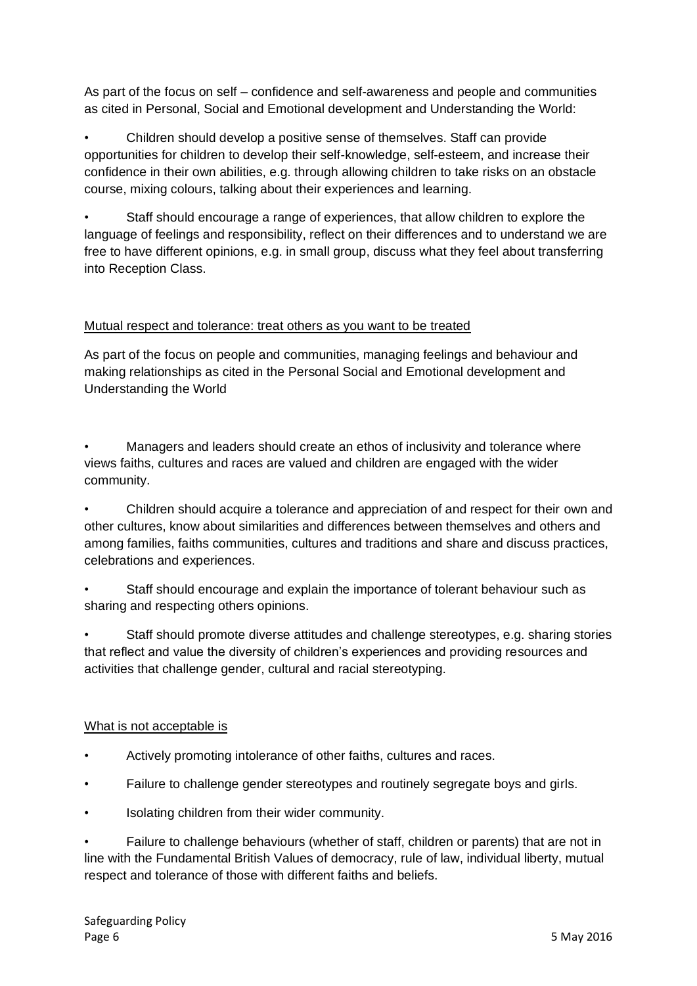As part of the focus on self – confidence and self-awareness and people and communities as cited in Personal, Social and Emotional development and Understanding the World:

• Children should develop a positive sense of themselves. Staff can provide opportunities for children to develop their self-knowledge, self-esteem, and increase their confidence in their own abilities, e.g. through allowing children to take risks on an obstacle course, mixing colours, talking about their experiences and learning.

• Staff should encourage a range of experiences, that allow children to explore the language of feelings and responsibility, reflect on their differences and to understand we are free to have different opinions, e.g. in small group, discuss what they feel about transferring into Reception Class.

### Mutual respect and tolerance: treat others as you want to be treated

As part of the focus on people and communities, managing feelings and behaviour and making relationships as cited in the Personal Social and Emotional development and Understanding the World

• Managers and leaders should create an ethos of inclusivity and tolerance where views faiths, cultures and races are valued and children are engaged with the wider community.

• Children should acquire a tolerance and appreciation of and respect for their own and other cultures, know about similarities and differences between themselves and others and among families, faiths communities, cultures and traditions and share and discuss practices, celebrations and experiences.

• Staff should encourage and explain the importance of tolerant behaviour such as sharing and respecting others opinions.

• Staff should promote diverse attitudes and challenge stereotypes, e.g. sharing stories that reflect and value the diversity of children's experiences and providing resources and activities that challenge gender, cultural and racial stereotyping.

#### What is not acceptable is

- Actively promoting intolerance of other faiths, cultures and races.
- Failure to challenge gender stereotypes and routinely segregate boys and girls.
- Isolating children from their wider community.

• Failure to challenge behaviours (whether of staff, children or parents) that are not in line with the Fundamental British Values of democracy, rule of law, individual liberty, mutual respect and tolerance of those with different faiths and beliefs.